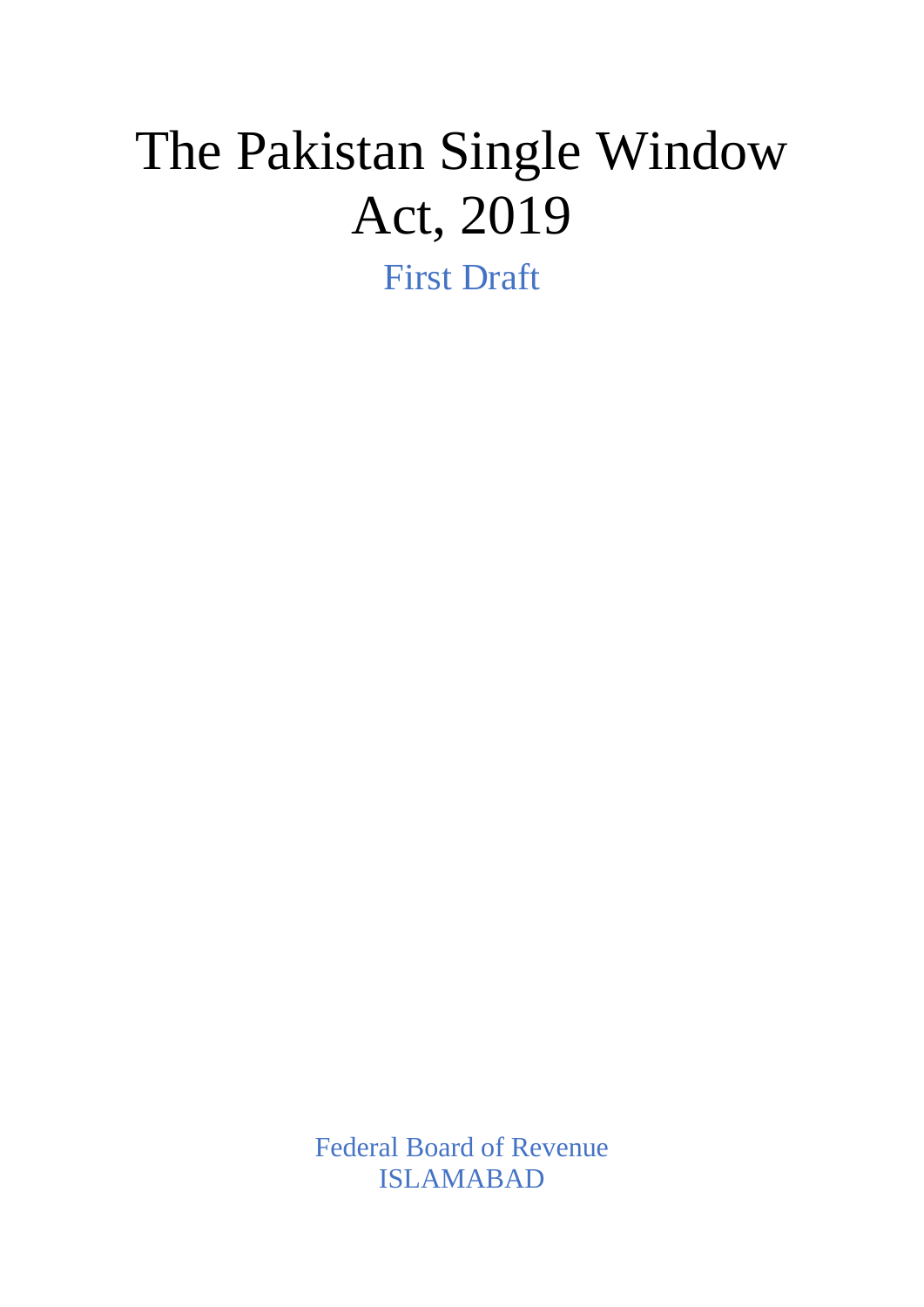# The Pakistan Single Window Act, 2019

First Draft

Federal Board of Revenue ISLAMABAD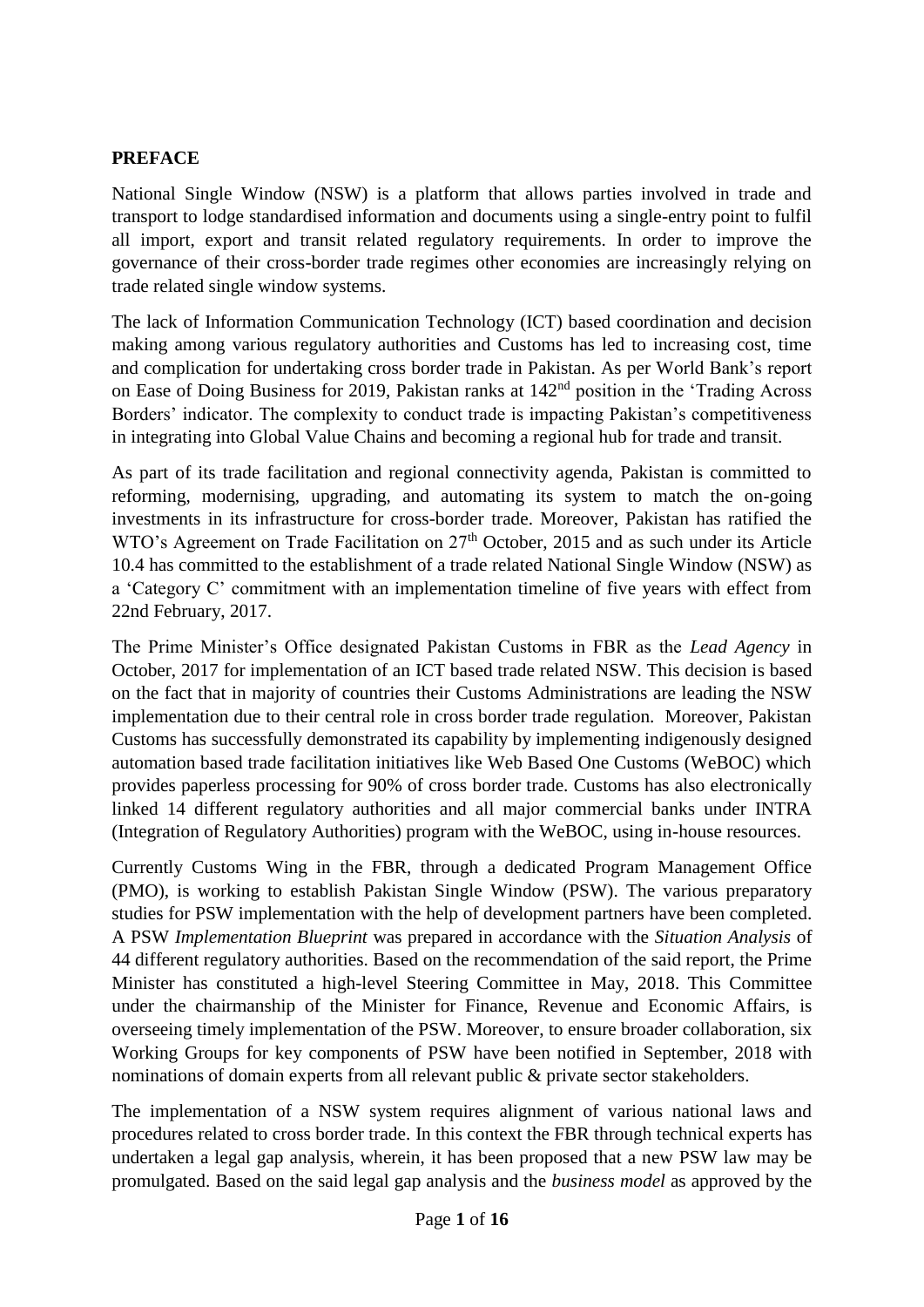## **PREFACE**

National Single Window (NSW) is a platform that allows parties involved in trade and transport to lodge standardised information and documents using a single-entry point to fulfil all import, export and transit related regulatory requirements. In order to improve the governance of their cross-border trade regimes other economies are increasingly relying on trade related single window systems.

The lack of Information Communication Technology (ICT) based coordination and decision making among various regulatory authorities and Customs has led to increasing cost, time and complication for undertaking cross border trade in Pakistan. As per World Bank's report on Ease of Doing Business for 2019, Pakistan ranks at 142<sup>nd</sup> position in the 'Trading Across Borders' indicator. The complexity to conduct trade is impacting Pakistan's competitiveness in integrating into Global Value Chains and becoming a regional hub for trade and transit.

As part of its trade facilitation and regional connectivity agenda, Pakistan is committed to reforming, modernising, upgrading, and automating its system to match the on-going investments in its infrastructure for cross-border trade. Moreover, Pakistan has ratified the WTO's Agreement on Trade Facilitation on 27<sup>th</sup> October, 2015 and as such under its Article 10.4 has committed to the establishment of a trade related National Single Window (NSW) as a 'Category C' commitment with an implementation timeline of five years with effect from 22nd February, 2017.

The Prime Minister's Office designated Pakistan Customs in FBR as the *Lead Agency* in October, 2017 for implementation of an ICT based trade related NSW. This decision is based on the fact that in majority of countries their Customs Administrations are leading the NSW implementation due to their central role in cross border trade regulation. Moreover, Pakistan Customs has successfully demonstrated its capability by implementing indigenously designed automation based trade facilitation initiatives like Web Based One Customs (WeBOC) which provides paperless processing for 90% of cross border trade. Customs has also electronically linked 14 different regulatory authorities and all major commercial banks under INTRA (Integration of Regulatory Authorities) program with the WeBOC, using in-house resources.

Currently Customs Wing in the FBR, through a dedicated Program Management Office (PMO), is working to establish Pakistan Single Window (PSW). The various preparatory studies for PSW implementation with the help of development partners have been completed. A PSW *Implementation Blueprint* was prepared in accordance with the *Situation Analysis* of 44 different regulatory authorities. Based on the recommendation of the said report, the Prime Minister has constituted a high-level Steering Committee in May, 2018. This Committee under the chairmanship of the Minister for Finance, Revenue and Economic Affairs, is overseeing timely implementation of the PSW. Moreover, to ensure broader collaboration, six Working Groups for key components of PSW have been notified in September, 2018 with nominations of domain experts from all relevant public & private sector stakeholders.

The implementation of a NSW system requires alignment of various national laws and procedures related to cross border trade. In this context the FBR through technical experts has undertaken a legal gap analysis, wherein, it has been proposed that a new PSW law may be promulgated. Based on the said legal gap analysis and the *business model* as approved by the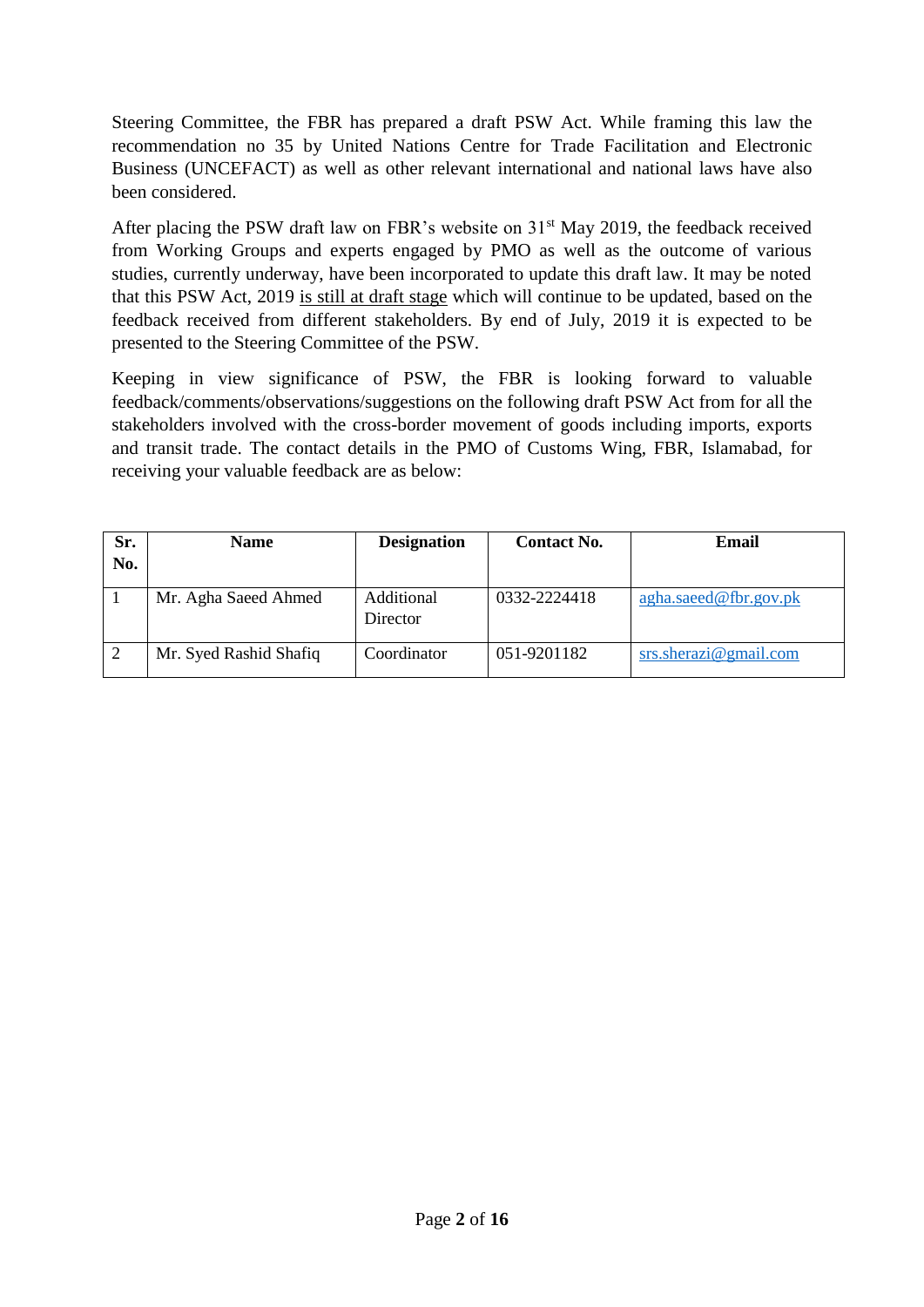Steering Committee, the FBR has prepared a draft PSW Act. While framing this law the recommendation no 35 by United Nations Centre for Trade Facilitation and Electronic Business (UNCEFACT) as well as other relevant international and national laws have also been considered.

After placing the PSW draft law on FBR's website on  $31<sup>st</sup>$  May 2019, the feedback received from Working Groups and experts engaged by PMO as well as the outcome of various studies, currently underway, have been incorporated to update this draft law. It may be noted that this PSW Act, 2019 is still at draft stage which will continue to be updated, based on the feedback received from different stakeholders. By end of July, 2019 it is expected to be presented to the Steering Committee of the PSW.

Keeping in view significance of PSW, the FBR is looking forward to valuable feedback/comments/observations/suggestions on the following draft PSW Act from for all the stakeholders involved with the cross-border movement of goods including imports, exports and transit trade. The contact details in the PMO of Customs Wing, FBR, Islamabad, for receiving your valuable feedback are as below:

| Sr.<br>No. | <b>Name</b>            | <b>Designation</b>     | <b>Contact No.</b> | Email                    |
|------------|------------------------|------------------------|--------------------|--------------------------|
|            | Mr. Agha Saeed Ahmed   | Additional<br>Director | 0332-2224418       | agha.saeed@fbr.gov.ph    |
| 2          | Mr. Syed Rashid Shafiq | Coordinator            | 051-9201182        | $srs.$ sherazi@gmail.com |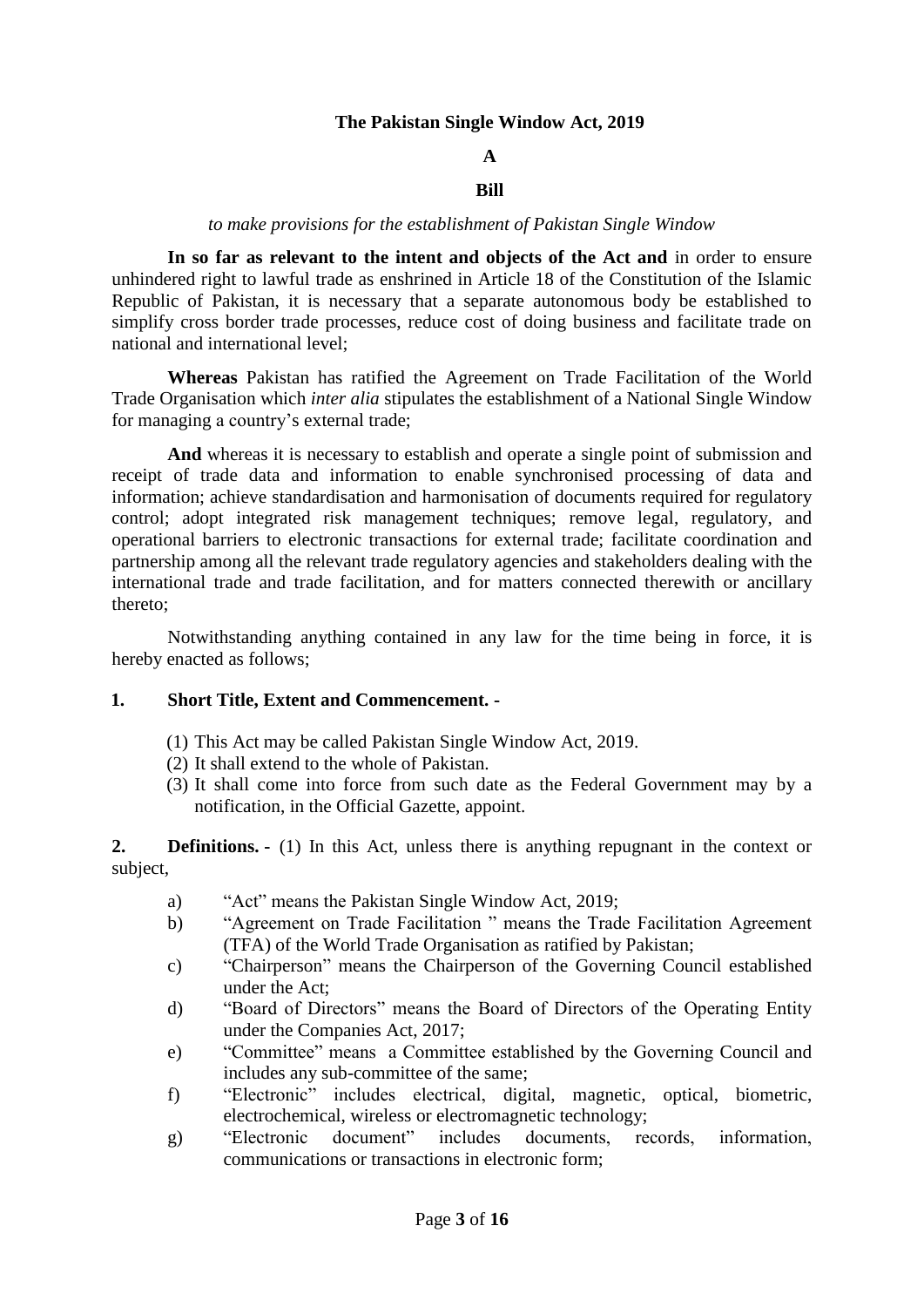#### **The Pakistan Single Window Act, 2019**

# **A**

## **Bill**

#### *to make provisions for the establishment of Pakistan Single Window*

**In so far as relevant to the intent and objects of the Act and** in order to ensure unhindered right to lawful trade as enshrined in Article 18 of the Constitution of the Islamic Republic of Pakistan, it is necessary that a separate autonomous body be established to simplify cross border trade processes, reduce cost of doing business and facilitate trade on national and international level;

**Whereas** Pakistan has ratified the Agreement on Trade Facilitation of the World Trade Organisation which *inter alia* stipulates the establishment of a National Single Window for managing a country's external trade;

**And** whereas it is necessary to establish and operate a single point of submission and receipt of trade data and information to enable synchronised processing of data and information; achieve standardisation and harmonisation of documents required for regulatory control; adopt integrated risk management techniques; remove legal, regulatory, and operational barriers to electronic transactions for external trade; facilitate coordination and partnership among all the relevant trade regulatory agencies and stakeholders dealing with the international trade and trade facilitation, and for matters connected therewith or ancillary thereto;

Notwithstanding anything contained in any law for the time being in force, it is hereby enacted as follows;

#### **1. Short Title, Extent and Commencement. -**

- (1) This Act may be called Pakistan Single Window Act, 2019.
- (2) It shall extend to the whole of Pakistan.
- (3) It shall come into force from such date as the Federal Government may by a notification, in the Official Gazette, appoint.

**2. Definitions. -** (1) In this Act, unless there is anything repugnant in the context or subject,

- a) "Act" means the Pakistan Single Window Act, 2019;
- b) "Agreement on Trade Facilitation " means the Trade Facilitation Agreement (TFA) of the World Trade Organisation as ratified by Pakistan;
- c) "Chairperson" means the Chairperson of the Governing Council established under the Act;
- d) "Board of Directors" means the Board of Directors of the Operating Entity under the Companies Act, 2017;
- e) "Committee" means a Committee established by the Governing Council and includes any sub-committee of the same;
- f) "Electronic" includes electrical, digital, magnetic, optical, biometric, electrochemical, wireless or electromagnetic technology;
- g) "Electronic document" includes documents, records, information, communications or transactions in electronic form;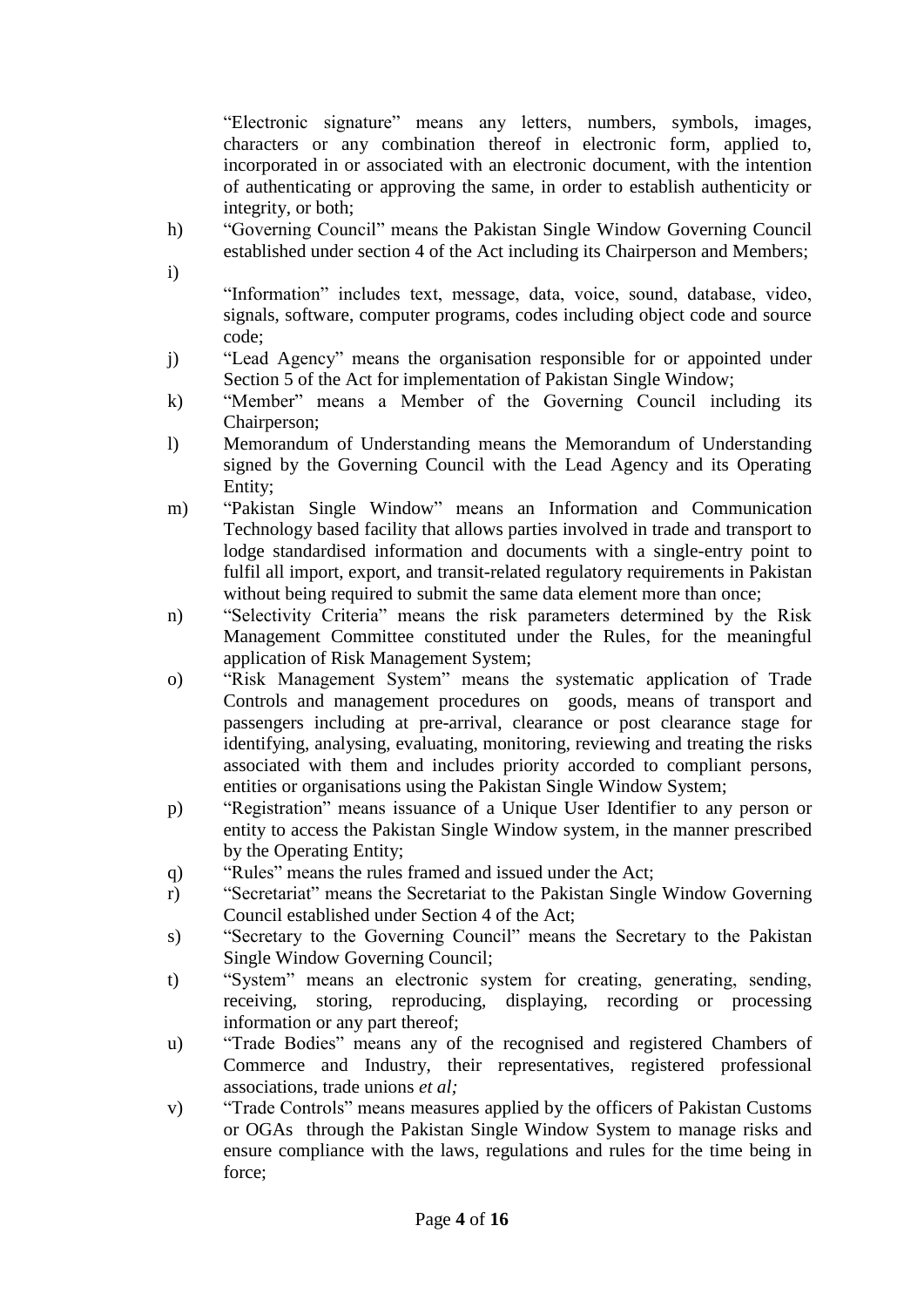"Electronic signature" means any letters, numbers, symbols, images, characters or any combination thereof in electronic form, applied to, incorporated in or associated with an electronic document, with the intention of authenticating or approving the same, in order to establish authenticity or integrity, or both;

- h) "Governing Council" means the Pakistan Single Window Governing Council established under section 4 of the Act including its Chairperson and Members;
- i)

"Information" includes text, message, data, voice, sound, database, video, signals, software, computer programs, codes including object code and source code;

- j) "Lead Agency" means the organisation responsible for or appointed under Section 5 of the Act for implementation of Pakistan Single Window;
- k) "Member" means a Member of the Governing Council including its Chairperson;
- l) Memorandum of Understanding means the Memorandum of Understanding signed by the Governing Council with the Lead Agency and its Operating Entity;
- m) "Pakistan Single Window" means an Information and Communication Technology based facility that allows parties involved in trade and transport to lodge standardised information and documents with a single-entry point to fulfil all import, export, and transit-related regulatory requirements in Pakistan without being required to submit the same data element more than once;
- n) "Selectivity Criteria" means the risk parameters determined by the Risk Management Committee constituted under the Rules, for the meaningful application of Risk Management System;
- o) "Risk Management System" means the systematic application of Trade Controls and management procedures on goods, means of transport and passengers including at pre-arrival, clearance or post clearance stage for identifying, analysing, evaluating, monitoring, reviewing and treating the risks associated with them and includes priority accorded to compliant persons, entities or organisations using the Pakistan Single Window System;
- p) "Registration" means issuance of a Unique User Identifier to any person or entity to access the Pakistan Single Window system, in the manner prescribed by the Operating Entity;
- q) "Rules" means the rules framed and issued under the Act;
- r) "Secretariat" means the Secretariat to the Pakistan Single Window Governing Council established under Section 4 of the Act;
- s) "Secretary to the Governing Council" means the Secretary to the Pakistan Single Window Governing Council;
- t) "System" means an electronic system for creating, generating, sending, receiving, storing, reproducing, displaying, recording or processing information or any part thereof;
- u) "Trade Bodies" means any of the recognised and registered Chambers of Commerce and Industry, their representatives, registered professional associations, trade unions *et al;*
- v) "Trade Controls" means measures applied by the officers of Pakistan Customs or OGAs through the Pakistan Single Window System to manage risks and ensure compliance with the laws, regulations and rules for the time being in force;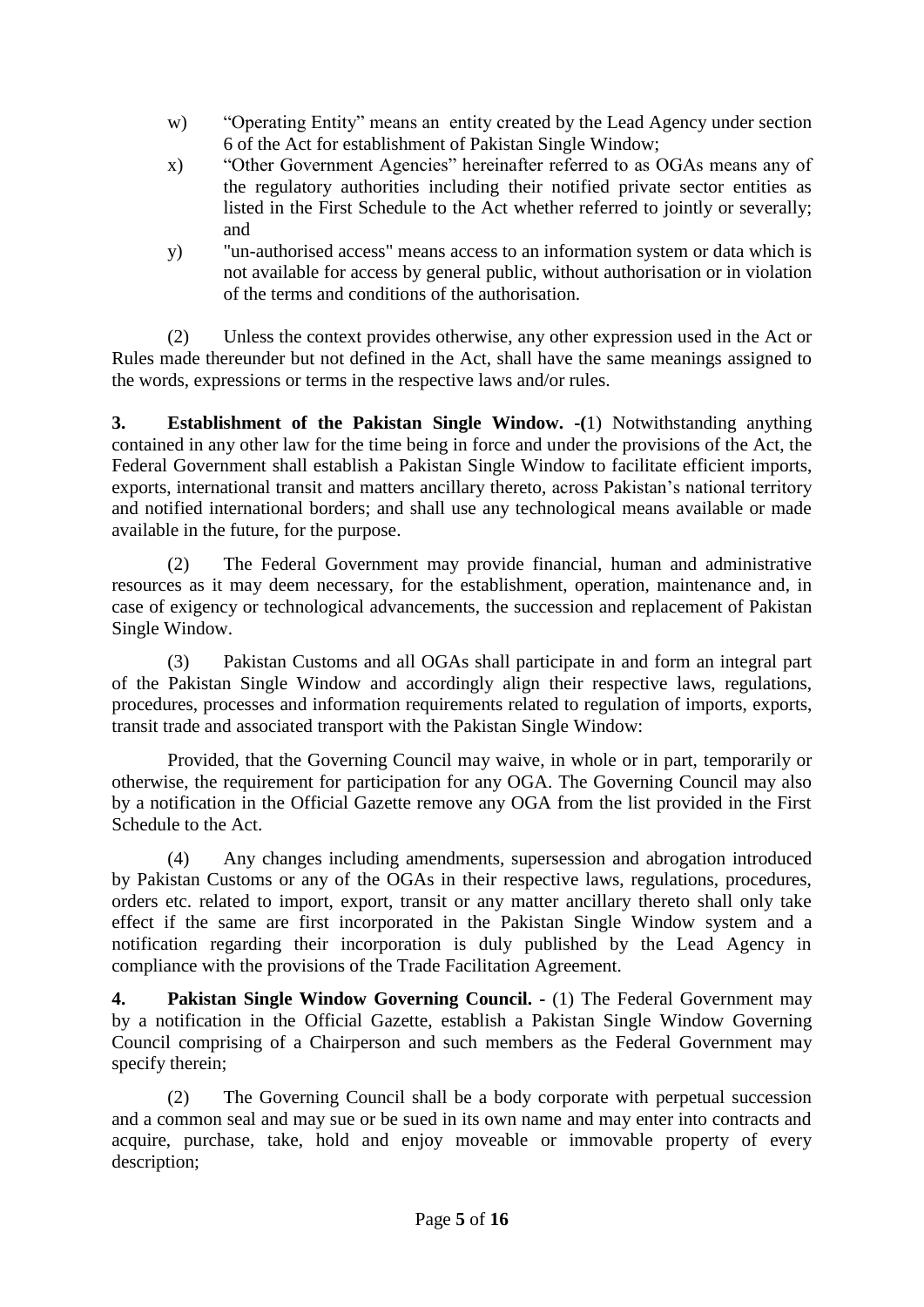- w) "Operating Entity" means an entity created by the Lead Agency under section 6 of the Act for establishment of Pakistan Single Window;
- x) "Other Government Agencies" hereinafter referred to as OGAs means any of the regulatory authorities including their notified private sector entities as listed in the First Schedule to the Act whether referred to jointly or severally; and
- y) "un-authorised access" means access to an information system or data which is not available for access by general public, without authorisation or in violation of the terms and conditions of the authorisation.

(2) Unless the context provides otherwise, any other expression used in the Act or Rules made thereunder but not defined in the Act, shall have the same meanings assigned to the words, expressions or terms in the respective laws and/or rules.

**3. Establishment of the Pakistan Single Window. -(**1) Notwithstanding anything contained in any other law for the time being in force and under the provisions of the Act, the Federal Government shall establish a Pakistan Single Window to facilitate efficient imports, exports, international transit and matters ancillary thereto, across Pakistan's national territory and notified international borders; and shall use any technological means available or made available in the future, for the purpose.

(2) The Federal Government may provide financial, human and administrative resources as it may deem necessary, for the establishment, operation, maintenance and, in case of exigency or technological advancements, the succession and replacement of Pakistan Single Window.

(3) Pakistan Customs and all OGAs shall participate in and form an integral part of the Pakistan Single Window and accordingly align their respective laws, regulations, procedures, processes and information requirements related to regulation of imports, exports, transit trade and associated transport with the Pakistan Single Window:

Provided, that the Governing Council may waive, in whole or in part, temporarily or otherwise, the requirement for participation for any OGA. The Governing Council may also by a notification in the Official Gazette remove any OGA from the list provided in the First Schedule to the Act.

(4) Any changes including amendments, supersession and abrogation introduced by Pakistan Customs or any of the OGAs in their respective laws, regulations, procedures, orders etc. related to import, export, transit or any matter ancillary thereto shall only take effect if the same are first incorporated in the Pakistan Single Window system and a notification regarding their incorporation is duly published by the Lead Agency in compliance with the provisions of the Trade Facilitation Agreement.

**4. Pakistan Single Window Governing Council. -** (1) The Federal Government may by a notification in the Official Gazette, establish a Pakistan Single Window Governing Council comprising of a Chairperson and such members as the Federal Government may specify therein;

(2) The Governing Council shall be a body corporate with perpetual succession and a common seal and may sue or be sued in its own name and may enter into contracts and acquire, purchase, take, hold and enjoy moveable or immovable property of every description;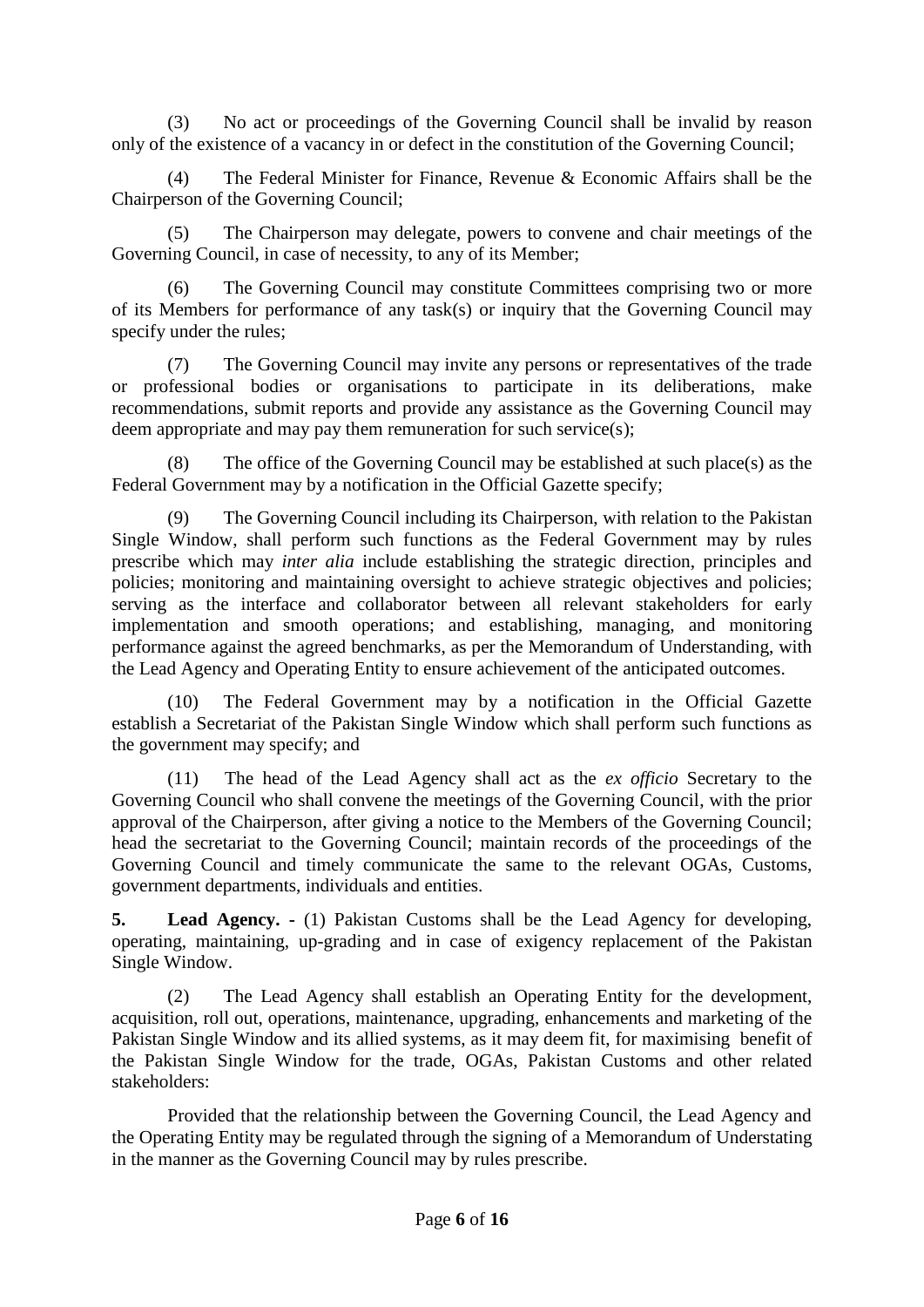(3) No act or proceedings of the Governing Council shall be invalid by reason only of the existence of a vacancy in or defect in the constitution of the Governing Council;

(4) The Federal Minister for Finance, Revenue & Economic Affairs shall be the Chairperson of the Governing Council;

(5) The Chairperson may delegate, powers to convene and chair meetings of the Governing Council, in case of necessity, to any of its Member;

(6) The Governing Council may constitute Committees comprising two or more of its Members for performance of any task(s) or inquiry that the Governing Council may specify under the rules;

(7) The Governing Council may invite any persons or representatives of the trade or professional bodies or organisations to participate in its deliberations, make recommendations, submit reports and provide any assistance as the Governing Council may deem appropriate and may pay them remuneration for such service(s);

(8) The office of the Governing Council may be established at such place(s) as the Federal Government may by a notification in the Official Gazette specify;

The Governing Council including its Chairperson, with relation to the Pakistan Single Window, shall perform such functions as the Federal Government may by rules prescribe which may *inter alia* include establishing the strategic direction, principles and policies; monitoring and maintaining oversight to achieve strategic objectives and policies; serving as the interface and collaborator between all relevant stakeholders for early implementation and smooth operations; and establishing, managing, and monitoring performance against the agreed benchmarks, as per the Memorandum of Understanding, with the Lead Agency and Operating Entity to ensure achievement of the anticipated outcomes.

(10) The Federal Government may by a notification in the Official Gazette establish a Secretariat of the Pakistan Single Window which shall perform such functions as the government may specify; and

(11) The head of the Lead Agency shall act as the *ex officio* Secretary to the Governing Council who shall convene the meetings of the Governing Council, with the prior approval of the Chairperson, after giving a notice to the Members of the Governing Council; head the secretariat to the Governing Council; maintain records of the proceedings of the Governing Council and timely communicate the same to the relevant OGAs, Customs, government departments, individuals and entities.

**5. Lead Agency. -** (1) Pakistan Customs shall be the Lead Agency for developing, operating, maintaining, up-grading and in case of exigency replacement of the Pakistan Single Window.

(2) The Lead Agency shall establish an Operating Entity for the development, acquisition, roll out, operations, maintenance, upgrading, enhancements and marketing of the Pakistan Single Window and its allied systems, as it may deem fit, for maximising benefit of the Pakistan Single Window for the trade, OGAs, Pakistan Customs and other related stakeholders:

Provided that the relationship between the Governing Council, the Lead Agency and the Operating Entity may be regulated through the signing of a Memorandum of Understating in the manner as the Governing Council may by rules prescribe.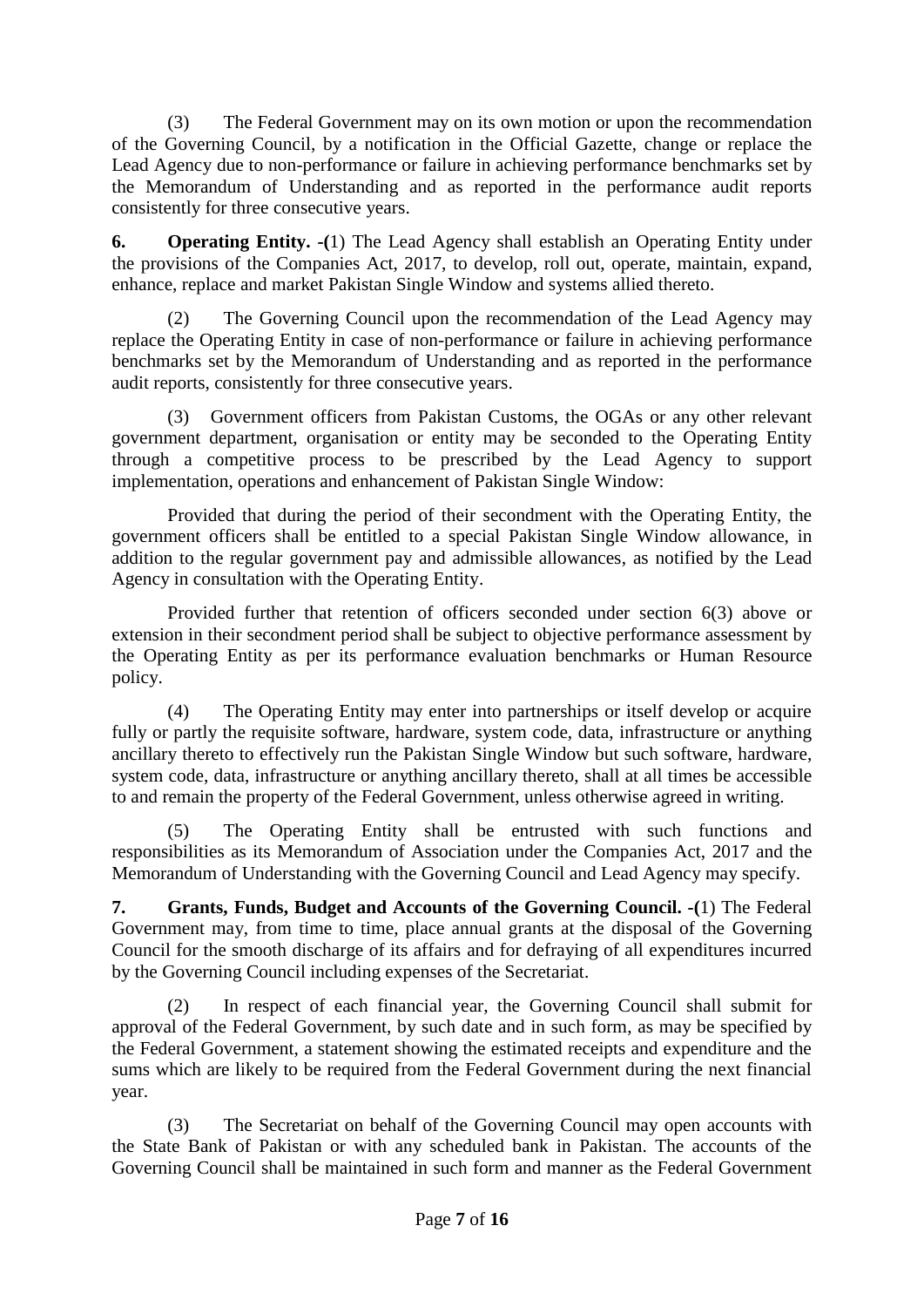(3) The Federal Government may on its own motion or upon the recommendation of the Governing Council, by a notification in the Official Gazette, change or replace the Lead Agency due to non-performance or failure in achieving performance benchmarks set by the Memorandum of Understanding and as reported in the performance audit reports consistently for three consecutive years.

**6. Operating Entity. -(**1) The Lead Agency shall establish an Operating Entity under the provisions of the Companies Act, 2017, to develop, roll out, operate, maintain, expand, enhance, replace and market Pakistan Single Window and systems allied thereto.

(2) The Governing Council upon the recommendation of the Lead Agency may replace the Operating Entity in case of non-performance or failure in achieving performance benchmarks set by the Memorandum of Understanding and as reported in the performance audit reports, consistently for three consecutive years.

(3) Government officers from Pakistan Customs, the OGAs or any other relevant government department, organisation or entity may be seconded to the Operating Entity through a competitive process to be prescribed by the Lead Agency to support implementation, operations and enhancement of Pakistan Single Window:

Provided that during the period of their secondment with the Operating Entity, the government officers shall be entitled to a special Pakistan Single Window allowance, in addition to the regular government pay and admissible allowances, as notified by the Lead Agency in consultation with the Operating Entity.

Provided further that retention of officers seconded under section 6(3) above or extension in their secondment period shall be subject to objective performance assessment by the Operating Entity as per its performance evaluation benchmarks or Human Resource policy.

(4) The Operating Entity may enter into partnerships or itself develop or acquire fully or partly the requisite software, hardware, system code, data, infrastructure or anything ancillary thereto to effectively run the Pakistan Single Window but such software, hardware, system code, data, infrastructure or anything ancillary thereto, shall at all times be accessible to and remain the property of the Federal Government, unless otherwise agreed in writing.

The Operating Entity shall be entrusted with such functions and responsibilities as its Memorandum of Association under the Companies Act, 2017 and the Memorandum of Understanding with the Governing Council and Lead Agency may specify.

**7. Grants, Funds, Budget and Accounts of the Governing Council. -(**1) The Federal Government may, from time to time, place annual grants at the disposal of the Governing Council for the smooth discharge of its affairs and for defraying of all expenditures incurred by the Governing Council including expenses of the Secretariat.

(2) In respect of each financial year, the Governing Council shall submit for approval of the Federal Government, by such date and in such form, as may be specified by the Federal Government, a statement showing the estimated receipts and expenditure and the sums which are likely to be required from the Federal Government during the next financial year.

(3) The Secretariat on behalf of the Governing Council may open accounts with the State Bank of Pakistan or with any scheduled bank in Pakistan. The accounts of the Governing Council shall be maintained in such form and manner as the Federal Government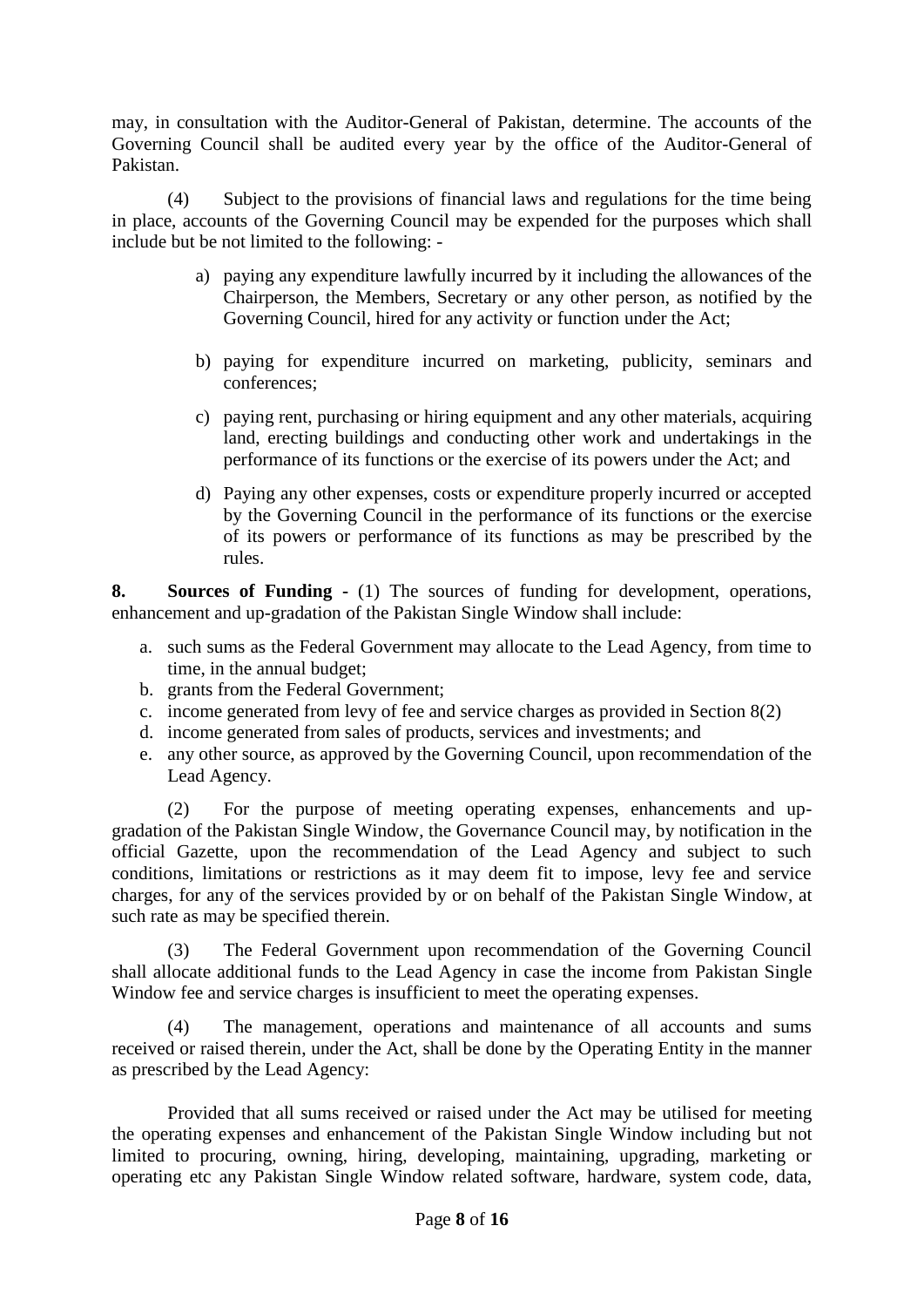may, in consultation with the Auditor-General of Pakistan, determine. The accounts of the Governing Council shall be audited every year by the office of the Auditor-General of Pakistan.

(4) Subject to the provisions of financial laws and regulations for the time being in place, accounts of the Governing Council may be expended for the purposes which shall include but be not limited to the following: -

- a) paying any expenditure lawfully incurred by it including the allowances of the Chairperson, the Members, Secretary or any other person, as notified by the Governing Council, hired for any activity or function under the Act;
- b) paying for expenditure incurred on marketing, publicity, seminars and conferences;
- c) paying rent, purchasing or hiring equipment and any other materials, acquiring land, erecting buildings and conducting other work and undertakings in the performance of its functions or the exercise of its powers under the Act; and
- d) Paying any other expenses, costs or expenditure properly incurred or accepted by the Governing Council in the performance of its functions or the exercise of its powers or performance of its functions as may be prescribed by the rules.

**8. Sources of Funding -** (1) The sources of funding for development, operations, enhancement and up-gradation of the Pakistan Single Window shall include:

- a. such sums as the Federal Government may allocate to the Lead Agency, from time to time, in the annual budget;
- b. grants from the Federal Government;
- c. income generated from levy of fee and service charges as provided in Section 8(2)
- d. income generated from sales of products, services and investments; and
- e. any other source, as approved by the Governing Council, upon recommendation of the Lead Agency.

(2) For the purpose of meeting operating expenses, enhancements and upgradation of the Pakistan Single Window, the Governance Council may, by notification in the official Gazette, upon the recommendation of the Lead Agency and subject to such conditions, limitations or restrictions as it may deem fit to impose, levy fee and service charges, for any of the services provided by or on behalf of the Pakistan Single Window, at such rate as may be specified therein.

(3) The Federal Government upon recommendation of the Governing Council shall allocate additional funds to the Lead Agency in case the income from Pakistan Single Window fee and service charges is insufficient to meet the operating expenses.

(4) The management, operations and maintenance of all accounts and sums received or raised therein, under the Act, shall be done by the Operating Entity in the manner as prescribed by the Lead Agency:

Provided that all sums received or raised under the Act may be utilised for meeting the operating expenses and enhancement of the Pakistan Single Window including but not limited to procuring, owning, hiring, developing, maintaining, upgrading, marketing or operating etc any Pakistan Single Window related software, hardware, system code, data,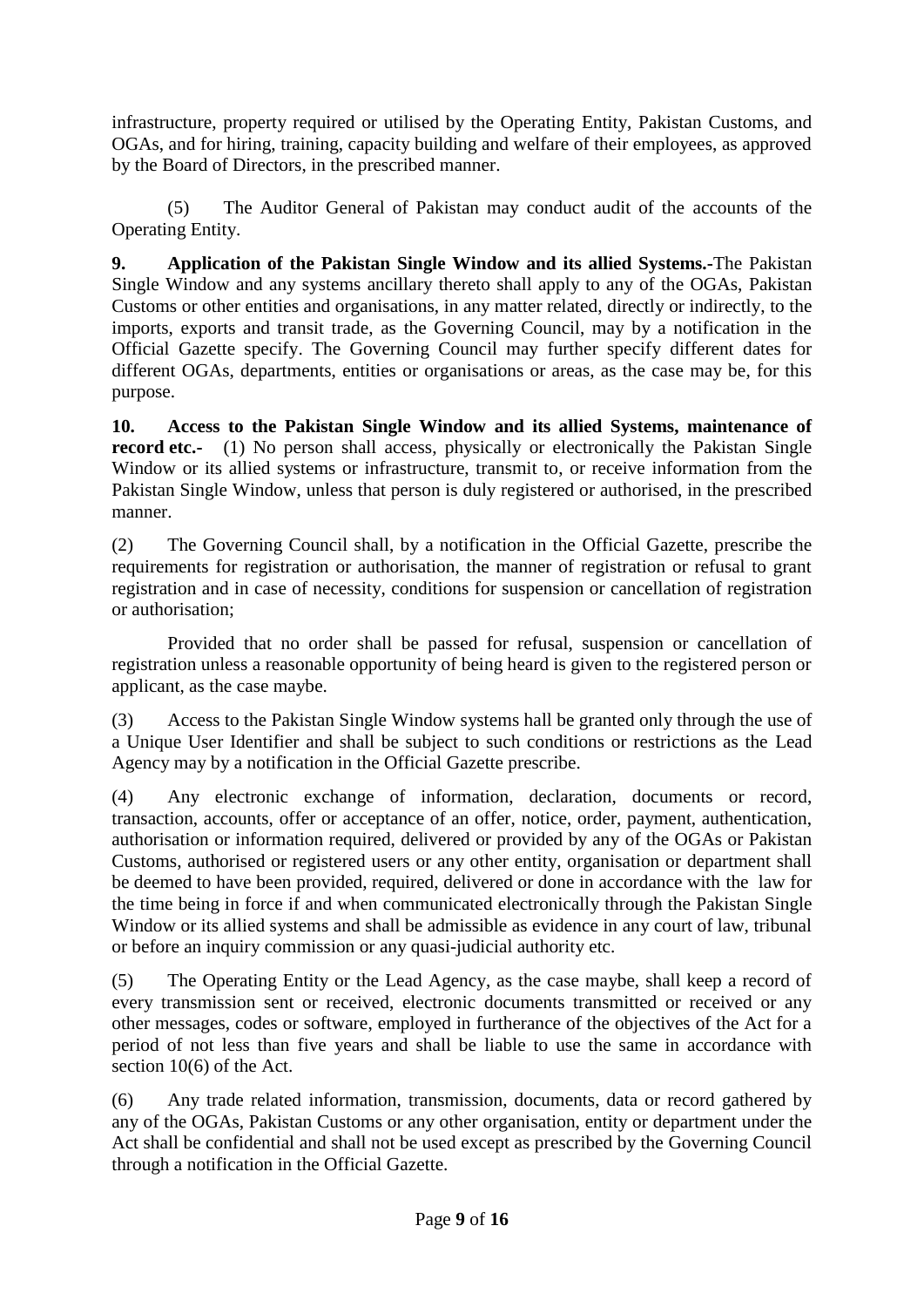infrastructure, property required or utilised by the Operating Entity, Pakistan Customs, and OGAs, and for hiring, training, capacity building and welfare of their employees, as approved by the Board of Directors, in the prescribed manner.

(5) The Auditor General of Pakistan may conduct audit of the accounts of the Operating Entity.

**9. Application of the Pakistan Single Window and its allied Systems.-**The Pakistan Single Window and any systems ancillary thereto shall apply to any of the OGAs, Pakistan Customs or other entities and organisations, in any matter related, directly or indirectly, to the imports, exports and transit trade, as the Governing Council, may by a notification in the Official Gazette specify. The Governing Council may further specify different dates for different OGAs, departments, entities or organisations or areas, as the case may be, for this purpose.

**10. Access to the Pakistan Single Window and its allied Systems, maintenance of record etc.-** (1) No person shall access, physically or electronically the Pakistan Single Window or its allied systems or infrastructure, transmit to, or receive information from the Pakistan Single Window, unless that person is duly registered or authorised, in the prescribed manner.

(2) The Governing Council shall, by a notification in the Official Gazette, prescribe the requirements for registration or authorisation, the manner of registration or refusal to grant registration and in case of necessity, conditions for suspension or cancellation of registration or authorisation;

Provided that no order shall be passed for refusal, suspension or cancellation of registration unless a reasonable opportunity of being heard is given to the registered person or applicant, as the case maybe.

(3) Access to the Pakistan Single Window systems hall be granted only through the use of a Unique User Identifier and shall be subject to such conditions or restrictions as the Lead Agency may by a notification in the Official Gazette prescribe.

(4) Any electronic exchange of information, declaration, documents or record, transaction, accounts, offer or acceptance of an offer, notice, order, payment, authentication, authorisation or information required, delivered or provided by any of the OGAs or Pakistan Customs, authorised or registered users or any other entity, organisation or department shall be deemed to have been provided, required, delivered or done in accordance with the law for the time being in force if and when communicated electronically through the Pakistan Single Window or its allied systems and shall be admissible as evidence in any court of law, tribunal or before an inquiry commission or any quasi-judicial authority etc.

(5) The Operating Entity or the Lead Agency, as the case maybe, shall keep a record of every transmission sent or received, electronic documents transmitted or received or any other messages, codes or software, employed in furtherance of the objectives of the Act for a period of not less than five years and shall be liable to use the same in accordance with section 10(6) of the Act.

(6) Any trade related information, transmission, documents, data or record gathered by any of the OGAs, Pakistan Customs or any other organisation, entity or department under the Act shall be confidential and shall not be used except as prescribed by the Governing Council through a notification in the Official Gazette.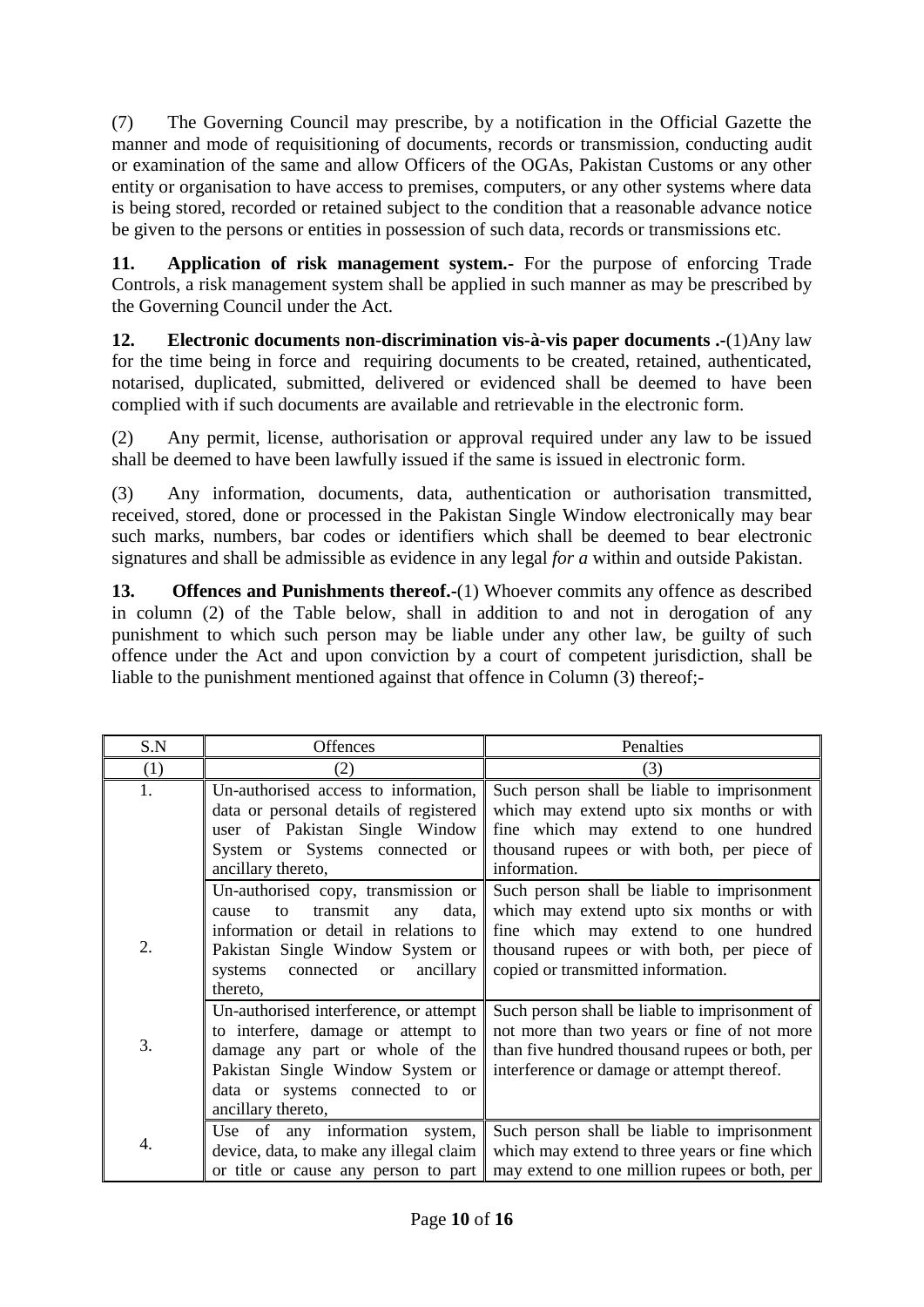(7) The Governing Council may prescribe, by a notification in the Official Gazette the manner and mode of requisitioning of documents, records or transmission, conducting audit or examination of the same and allow Officers of the OGAs, Pakistan Customs or any other entity or organisation to have access to premises, computers, or any other systems where data is being stored, recorded or retained subject to the condition that a reasonable advance notice be given to the persons or entities in possession of such data, records or transmissions etc.

**11. Application of risk management system.-** For the purpose of enforcing Trade Controls, a risk management system shall be applied in such manner as may be prescribed by the Governing Council under the Act.

**12. Electronic documents non-discrimination vis-à-vis paper documents .-**(1)Any law for the time being in force and requiring documents to be created, retained, authenticated, notarised, duplicated, submitted, delivered or evidenced shall be deemed to have been complied with if such documents are available and retrievable in the electronic form.

(2) Any permit, license, authorisation or approval required under any law to be issued shall be deemed to have been lawfully issued if the same is issued in electronic form.

(3) Any information, documents, data, authentication or authorisation transmitted, received, stored, done or processed in the Pakistan Single Window electronically may bear such marks, numbers, bar codes or identifiers which shall be deemed to bear electronic signatures and shall be admissible as evidence in any legal *for a* within and outside Pakistan.

**13.** Offences and Punishments thereof.-(1) Whoever commits any offence as described in column (2) of the Table below, shall in addition to and not in derogation of any punishment to which such person may be liable under any other law, be guilty of such offence under the Act and upon conviction by a court of competent jurisdiction, shall be liable to the punishment mentioned against that offence in Column (3) thereof;-

| S.N | <b>Offences</b>                                | Penalties                                      |
|-----|------------------------------------------------|------------------------------------------------|
| (1) | (2)                                            | (3)                                            |
| 1.  | Un-authorised access to information,           | Such person shall be liable to imprisonment    |
|     | data or personal details of registered         | which may extend upto six months or with       |
|     | user of Pakistan Single Window                 | fine which may extend to one hundred           |
|     | System or Systems connected or                 | thousand rupees or with both, per piece of     |
|     | ancillary thereto,                             | information.                                   |
|     | Un-authorised copy, transmission or            | Such person shall be liable to imprisonment    |
|     | transmit<br>data,<br>to<br>cause<br>any        | which may extend upto six months or with       |
|     | information or detail in relations to          | fine which may extend to one hundred           |
| 2.  | Pakistan Single Window System or               | thousand rupees or with both, per piece of     |
|     | systems<br>connected<br>ancillary<br><b>or</b> | copied or transmitted information.             |
|     | thereto,                                       |                                                |
|     | Un-authorised interference, or attempt         | Such person shall be liable to imprisonment of |
| 3.  | to interfere, damage or attempt to             | not more than two years or fine of not more    |
|     | damage any part or whole of the                | than five hundred thousand rupees or both, per |
|     | Pakistan Single Window System or               | interference or damage or attempt thereof.     |
|     | data or systems connected to or                |                                                |
|     | ancillary thereto,                             |                                                |
| 4.  | Use of any information system,                 | Such person shall be liable to imprisonment    |
|     | device, data, to make any illegal claim        | which may extend to three years or fine which  |
|     | or title or cause any person to part           | may extend to one million rupees or both, per  |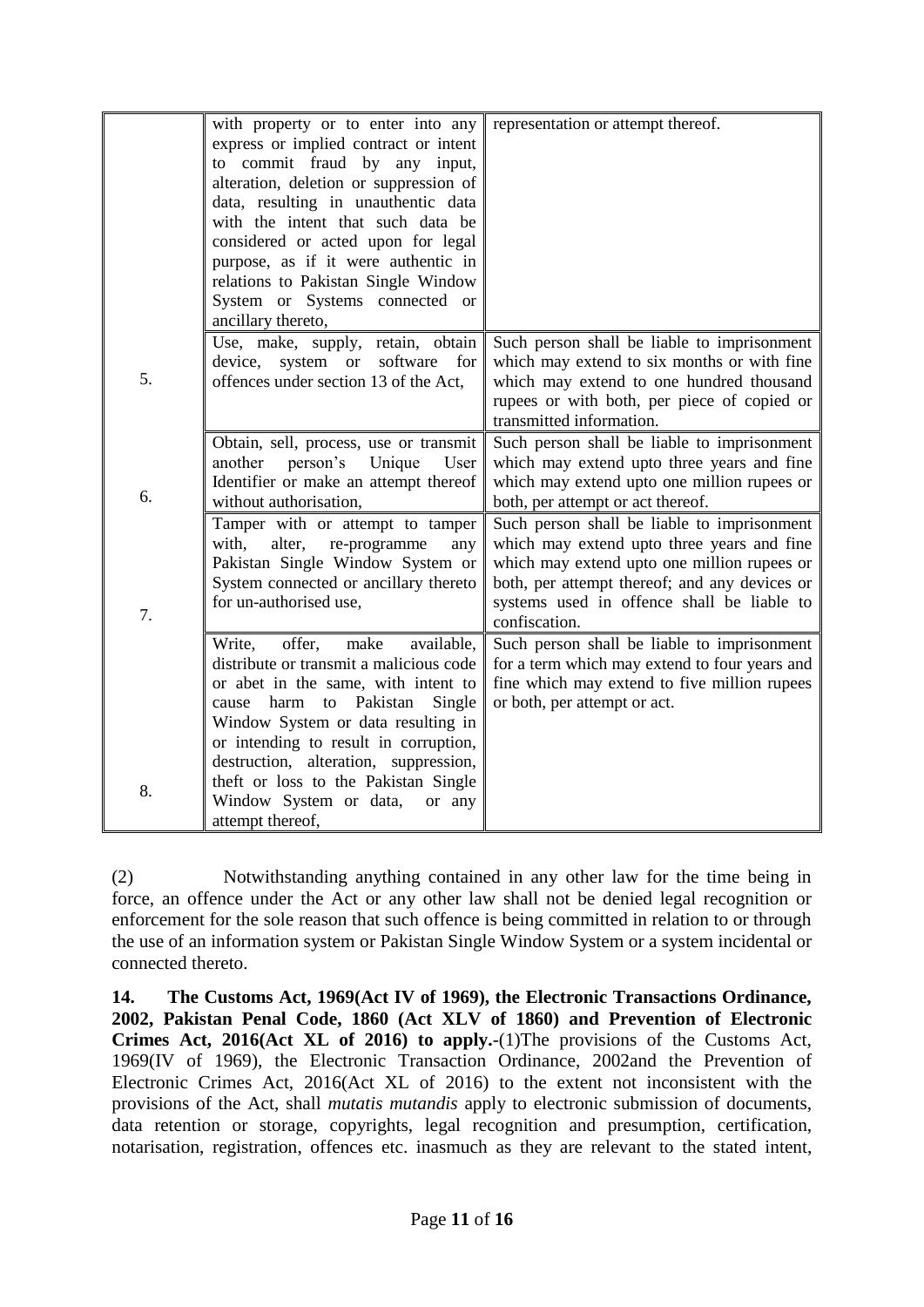|    | with property or to enter into any             | representation or attempt thereof.            |
|----|------------------------------------------------|-----------------------------------------------|
|    |                                                |                                               |
|    | express or implied contract or intent          |                                               |
|    | to commit fraud by any input,                  |                                               |
|    | alteration, deletion or suppression of         |                                               |
|    | data, resulting in unauthentic data            |                                               |
|    | with the intent that such data be              |                                               |
|    | considered or acted upon for legal             |                                               |
|    | purpose, as if it were authentic in            |                                               |
|    | relations to Pakistan Single Window            |                                               |
|    | System or Systems connected or                 |                                               |
|    | ancillary thereto,                             |                                               |
|    | Use, make, supply, retain, obtain              | Such person shall be liable to imprisonment   |
|    | device, system<br><b>or</b><br>software<br>for | which may extend to six months or with fine   |
| 5. | offences under section 13 of the Act,          | which may extend to one hundred thousand      |
|    |                                                | rupees or with both, per piece of copied or   |
|    |                                                | transmitted information.                      |
|    | Obtain, sell, process, use or transmit         | Such person shall be liable to imprisonment   |
|    | another<br>person's<br>Unique<br>User          | which may extend upto three years and fine    |
|    | Identifier or make an attempt thereof          | which may extend upto one million rupees or   |
| 6. | without authorisation,                         | both, per attempt or act thereof.             |
|    |                                                |                                               |
|    | Tamper with or attempt to tamper               | Such person shall be liable to imprisonment   |
|    | with,<br>alter,<br>re-programme<br>any         | which may extend upto three years and fine    |
|    | Pakistan Single Window System or               | which may extend upto one million rupees or   |
|    | System connected or ancillary thereto          | both, per attempt thereof; and any devices or |
| 7. | for un-authorised use,                         | systems used in offence shall be liable to    |
|    |                                                | confiscation.                                 |
|    | offer,<br>make<br>Write,<br>available,         | Such person shall be liable to imprisonment   |
|    | distribute or transmit a malicious code        | for a term which may extend to four years and |
|    | or abet in the same, with intent to            | fine which may extend to five million rupees  |
|    | cause harm to Pakistan<br>Single               | or both, per attempt or act.                  |
|    | Window System or data resulting in             |                                               |
|    | or intending to result in corruption,          |                                               |
|    | destruction, alteration, suppression,          |                                               |
|    | theft or loss to the Pakistan Single           |                                               |
| 8. | Window System or data,<br>or any               |                                               |
|    | attempt thereof,                               |                                               |
|    |                                                |                                               |

(2) Notwithstanding anything contained in any other law for the time being in force, an offence under the Act or any other law shall not be denied legal recognition or enforcement for the sole reason that such offence is being committed in relation to or through the use of an information system or Pakistan Single Window System or a system incidental or connected thereto.

**14. The Customs Act, 1969(Act IV of 1969), the Electronic Transactions Ordinance, 2002, Pakistan Penal Code, 1860 (Act XLV of 1860) and Prevention of Electronic Crimes Act, 2016(Act XL of 2016) to apply.**-(1)The provisions of the Customs Act, 1969(IV of 1969), the Electronic Transaction Ordinance, 2002and the Prevention of Electronic Crimes Act, 2016(Act XL of 2016) to the extent not inconsistent with the provisions of the Act, shall *mutatis mutandis* apply to electronic submission of documents, data retention or storage, copyrights, legal recognition and presumption, certification, notarisation, registration, offences etc. inasmuch as they are relevant to the stated intent,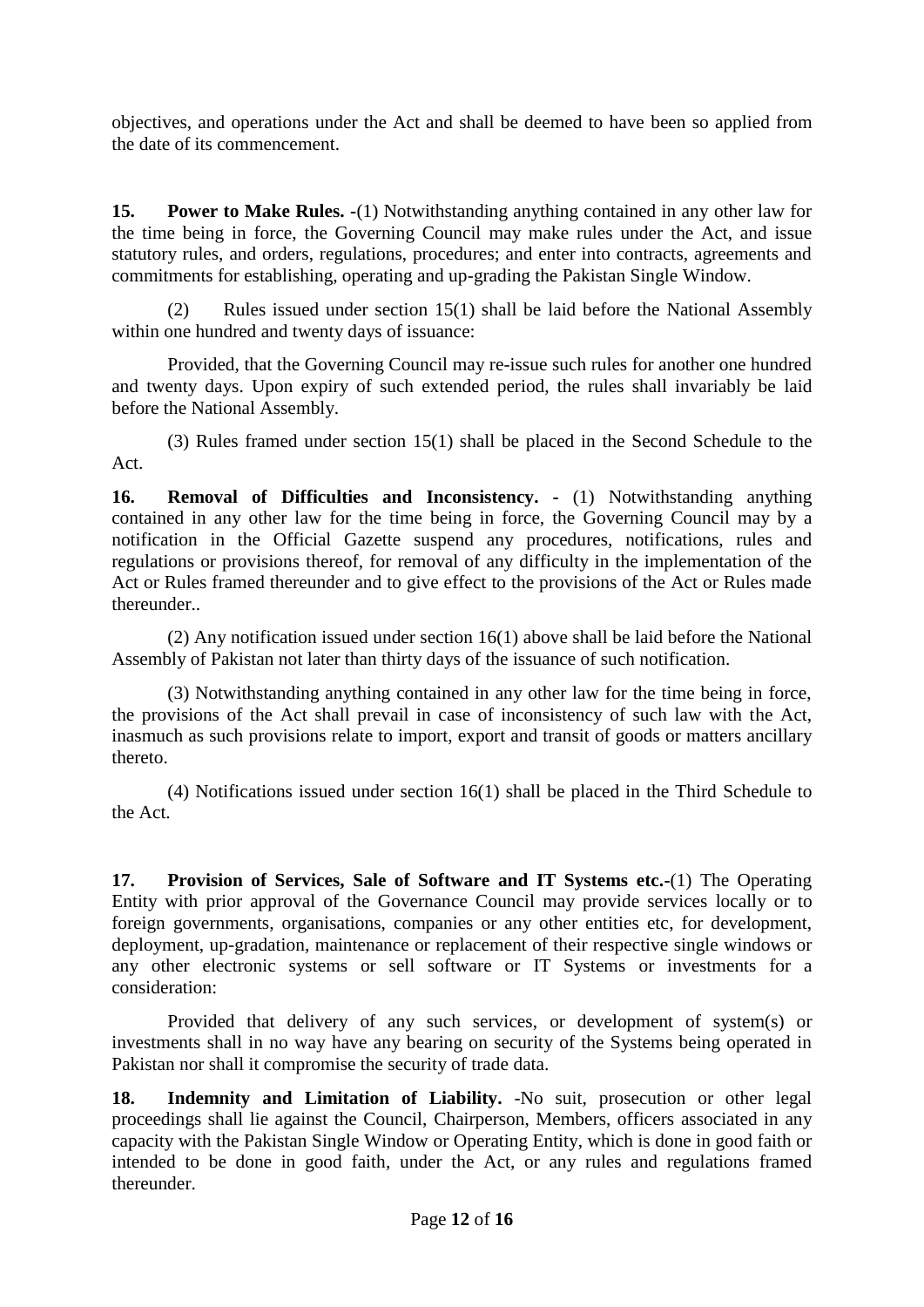objectives, and operations under the Act and shall be deemed to have been so applied from the date of its commencement.

**15. Power to Make Rules. -**(1) Notwithstanding anything contained in any other law for the time being in force, the Governing Council may make rules under the Act, and issue statutory rules, and orders, regulations, procedures; and enter into contracts, agreements and commitments for establishing, operating and up-grading the Pakistan Single Window.

(2) Rules issued under section 15(1) shall be laid before the National Assembly within one hundred and twenty days of issuance:

Provided, that the Governing Council may re-issue such rules for another one hundred and twenty days. Upon expiry of such extended period, the rules shall invariably be laid before the National Assembly.

(3) Rules framed under section 15(1) shall be placed in the Second Schedule to the Act.

**16. Removal of Difficulties and Inconsistency. -** (1) Notwithstanding anything contained in any other law for the time being in force, the Governing Council may by a notification in the Official Gazette suspend any procedures, notifications, rules and regulations or provisions thereof, for removal of any difficulty in the implementation of the Act or Rules framed thereunder and to give effect to the provisions of the Act or Rules made thereunder..

(2) Any notification issued under section 16(1) above shall be laid before the National Assembly of Pakistan not later than thirty days of the issuance of such notification.

(3) Notwithstanding anything contained in any other law for the time being in force, the provisions of the Act shall prevail in case of inconsistency of such law with the Act, inasmuch as such provisions relate to import, export and transit of goods or matters ancillary thereto.

(4) Notifications issued under section 16(1) shall be placed in the Third Schedule to the Act.

**17. Provision of Services, Sale of Software and IT Systems etc.-**(1) The Operating Entity with prior approval of the Governance Council may provide services locally or to foreign governments, organisations, companies or any other entities etc, for development, deployment, up-gradation, maintenance or replacement of their respective single windows or any other electronic systems or sell software or IT Systems or investments for a consideration:

Provided that delivery of any such services, or development of system(s) or investments shall in no way have any bearing on security of the Systems being operated in Pakistan nor shall it compromise the security of trade data.

**18. Indemnity and Limitation of Liability.** -No suit, prosecution or other legal proceedings shall lie against the Council, Chairperson, Members, officers associated in any capacity with the Pakistan Single Window or Operating Entity, which is done in good faith or intended to be done in good faith, under the Act, or any rules and regulations framed thereunder.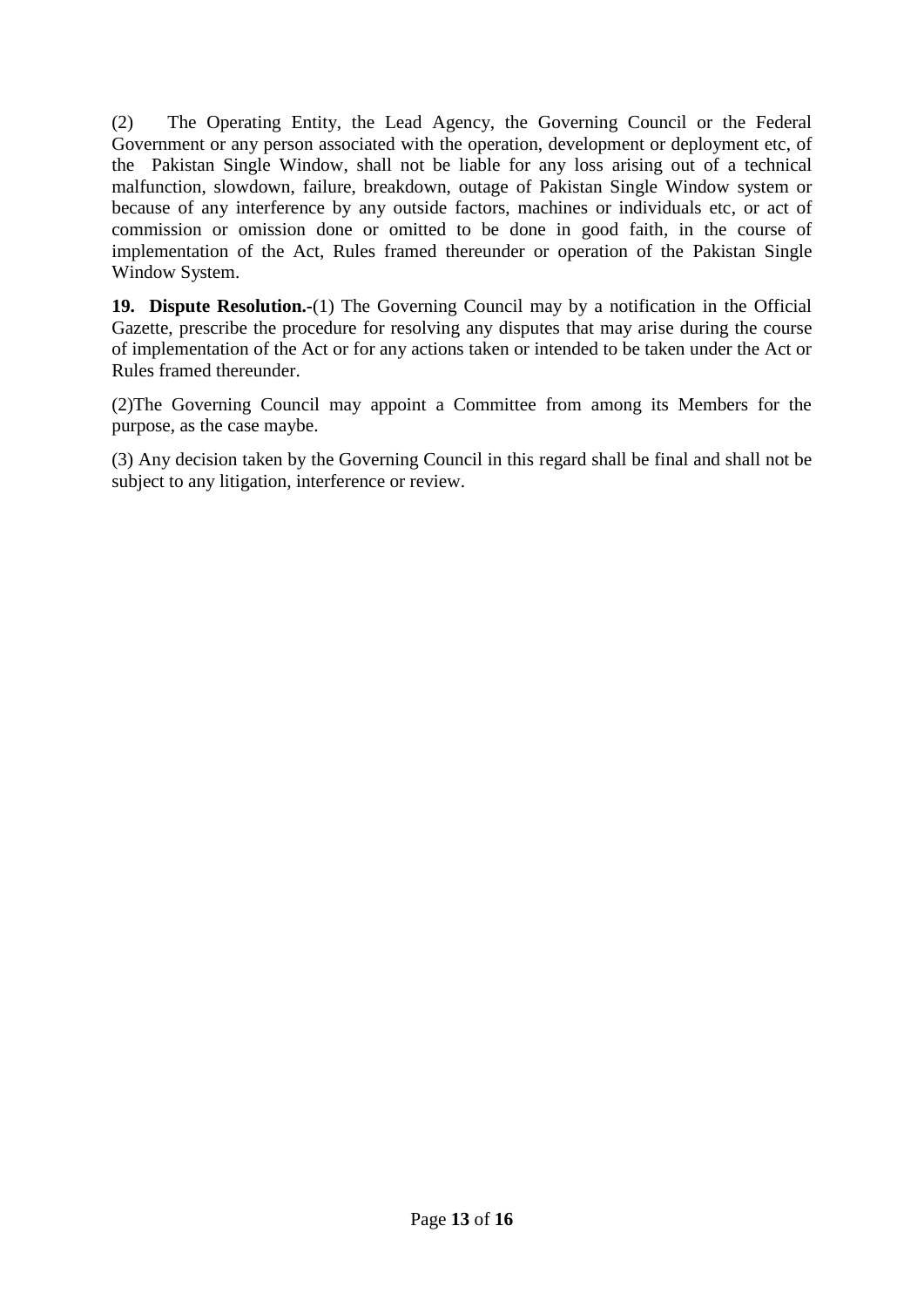(2) The Operating Entity, the Lead Agency, the Governing Council or the Federal Government or any person associated with the operation, development or deployment etc, of the Pakistan Single Window, shall not be liable for any loss arising out of a technical malfunction, slowdown, failure, breakdown, outage of Pakistan Single Window system or because of any interference by any outside factors, machines or individuals etc, or act of commission or omission done or omitted to be done in good faith, in the course of implementation of the Act, Rules framed thereunder or operation of the Pakistan Single Window System.

**19. Dispute Resolution.-**(1) The Governing Council may by a notification in the Official Gazette, prescribe the procedure for resolving any disputes that may arise during the course of implementation of the Act or for any actions taken or intended to be taken under the Act or Rules framed thereunder.

(2)The Governing Council may appoint a Committee from among its Members for the purpose, as the case maybe.

(3) Any decision taken by the Governing Council in this regard shall be final and shall not be subject to any litigation, interference or review.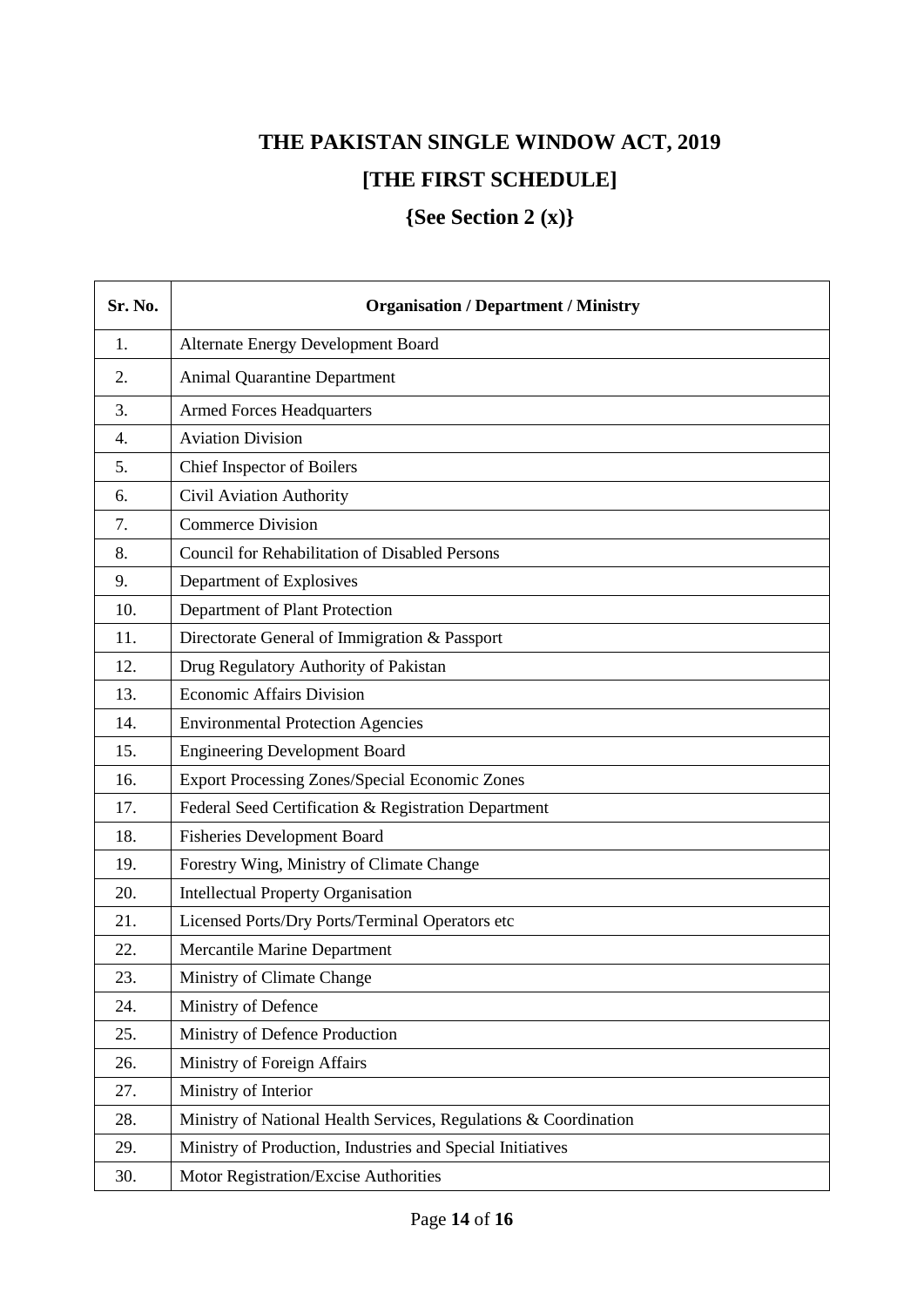# **THE PAKISTAN SINGLE WINDOW ACT, 2019 [THE FIRST SCHEDULE]**

**{See Section 2 (x)}**

| Sr. No. | <b>Organisation / Department / Ministry</b>                      |
|---------|------------------------------------------------------------------|
| 1.      | Alternate Energy Development Board                               |
| 2.      | <b>Animal Quarantine Department</b>                              |
| 3.      | <b>Armed Forces Headquarters</b>                                 |
| 4.      | <b>Aviation Division</b>                                         |
| 5.      | Chief Inspector of Boilers                                       |
| 6.      | Civil Aviation Authority                                         |
| 7.      | <b>Commerce Division</b>                                         |
| 8.      | <b>Council for Rehabilitation of Disabled Persons</b>            |
| 9.      | Department of Explosives                                         |
| 10.     | Department of Plant Protection                                   |
| 11.     | Directorate General of Immigration & Passport                    |
| 12.     | Drug Regulatory Authority of Pakistan                            |
| 13.     | <b>Economic Affairs Division</b>                                 |
| 14.     | <b>Environmental Protection Agencies</b>                         |
| 15.     | <b>Engineering Development Board</b>                             |
| 16.     | <b>Export Processing Zones/Special Economic Zones</b>            |
| 17.     | Federal Seed Certification & Registration Department             |
| 18.     | <b>Fisheries Development Board</b>                               |
| 19.     | Forestry Wing, Ministry of Climate Change                        |
| 20.     | <b>Intellectual Property Organisation</b>                        |
| 21.     | Licensed Ports/Dry Ports/Terminal Operators etc                  |
| 22.     | Mercantile Marine Department                                     |
| 23.     | Ministry of Climate Change                                       |
| 24.     | Ministry of Defence                                              |
| 25.     | Ministry of Defence Production                                   |
| 26.     | Ministry of Foreign Affairs                                      |
| 27.     | Ministry of Interior                                             |
| 28.     | Ministry of National Health Services, Regulations & Coordination |
| 29.     | Ministry of Production, Industries and Special Initiatives       |
| 30.     | Motor Registration/Excise Authorities                            |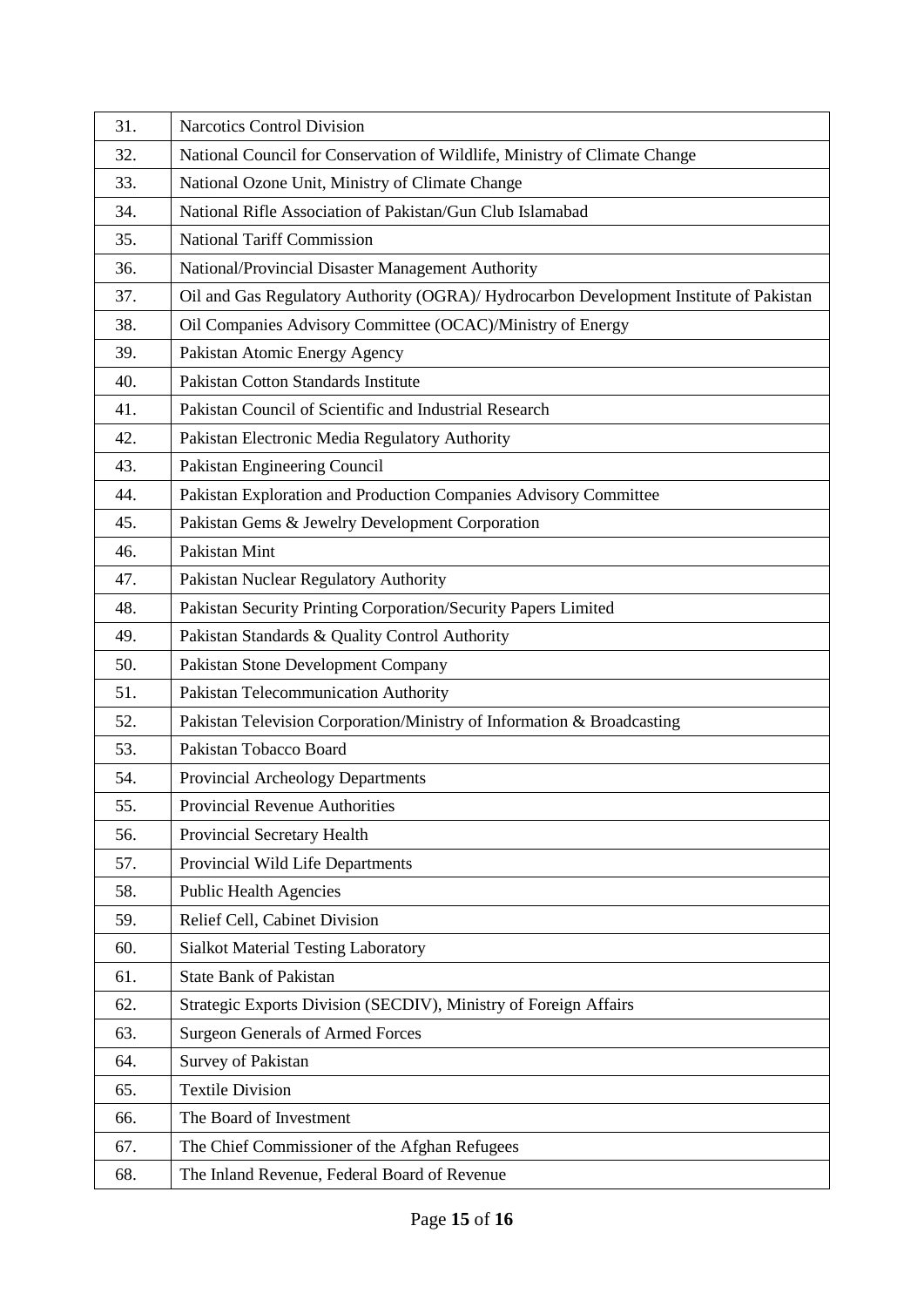| 31. | <b>Narcotics Control Division</b>                                                      |
|-----|----------------------------------------------------------------------------------------|
| 32. | National Council for Conservation of Wildlife, Ministry of Climate Change              |
| 33. | National Ozone Unit, Ministry of Climate Change                                        |
| 34. | National Rifle Association of Pakistan/Gun Club Islamabad                              |
| 35. | <b>National Tariff Commission</b>                                                      |
| 36. | National/Provincial Disaster Management Authority                                      |
| 37. | Oil and Gas Regulatory Authority (OGRA)/ Hydrocarbon Development Institute of Pakistan |
| 38. | Oil Companies Advisory Committee (OCAC)/Ministry of Energy                             |
| 39. | Pakistan Atomic Energy Agency                                                          |
| 40. | Pakistan Cotton Standards Institute                                                    |
| 41. | Pakistan Council of Scientific and Industrial Research                                 |
| 42. | Pakistan Electronic Media Regulatory Authority                                         |
| 43. | Pakistan Engineering Council                                                           |
| 44. | Pakistan Exploration and Production Companies Advisory Committee                       |
| 45. | Pakistan Gems & Jewelry Development Corporation                                        |
| 46. | Pakistan Mint                                                                          |
| 47. | Pakistan Nuclear Regulatory Authority                                                  |
| 48. | Pakistan Security Printing Corporation/Security Papers Limited                         |
| 49. | Pakistan Standards & Quality Control Authority                                         |
| 50. | Pakistan Stone Development Company                                                     |
| 51. | Pakistan Telecommunication Authority                                                   |
| 52. | Pakistan Television Corporation/Ministry of Information & Broadcasting                 |
| 53. | Pakistan Tobacco Board                                                                 |
| 54. | Provincial Archeology Departments                                                      |
| 55. | Provincial Revenue Authorities                                                         |
| 56. | Provincial Secretary Health                                                            |
| 57. | Provincial Wild Life Departments                                                       |
| 58. | <b>Public Health Agencies</b>                                                          |
| 59. | Relief Cell, Cabinet Division                                                          |
| 60. | <b>Sialkot Material Testing Laboratory</b>                                             |
| 61. | <b>State Bank of Pakistan</b>                                                          |
| 62. | Strategic Exports Division (SECDIV), Ministry of Foreign Affairs                       |
| 63. | <b>Surgeon Generals of Armed Forces</b>                                                |
| 64. | Survey of Pakistan                                                                     |
| 65. | <b>Textile Division</b>                                                                |
| 66. | The Board of Investment                                                                |
| 67. | The Chief Commissioner of the Afghan Refugees                                          |
| 68. | The Inland Revenue, Federal Board of Revenue                                           |